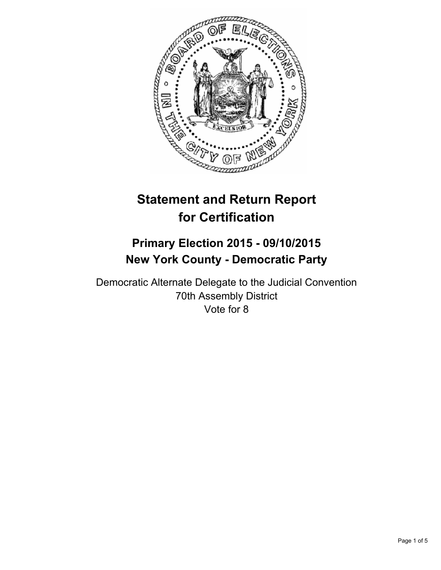

# **Statement and Return Report for Certification**

## **Primary Election 2015 - 09/10/2015 New York County - Democratic Party**

Democratic Alternate Delegate to the Judicial Convention 70th Assembly District Vote for 8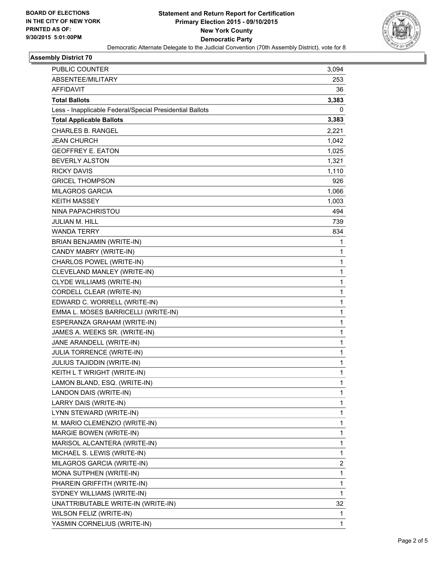

### **Assembly District 70**

| PUBLIC COUNTER                                           | 3,094 |
|----------------------------------------------------------|-------|
| ABSENTEE/MILITARY                                        | 253   |
| AFFIDAVIT                                                | 36    |
| <b>Total Ballots</b>                                     | 3,383 |
| Less - Inapplicable Federal/Special Presidential Ballots | 0     |
| <b>Total Applicable Ballots</b>                          | 3,383 |
| <b>CHARLES B. RANGEL</b>                                 | 2,221 |
| JEAN CHURCH                                              | 1,042 |
| <b>GEOFFREY E. EATON</b>                                 | 1,025 |
| <b>BEVERLY ALSTON</b>                                    | 1,321 |
| <b>RICKY DAVIS</b>                                       | 1,110 |
| <b>GRICEL THOMPSON</b>                                   | 926   |
| <b>MILAGROS GARCIA</b>                                   | 1,066 |
| <b>KEITH MASSEY</b>                                      | 1,003 |
| NINA PAPACHRISTOU                                        | 494   |
| <b>JULIAN M. HILL</b>                                    | 739   |
| <b>WANDA TERRY</b>                                       | 834   |
| BRIAN BENJAMIN (WRITE-IN)                                | 1     |
| CANDY MABRY (WRITE-IN)                                   | 1     |
| CHARLOS POWEL (WRITE-IN)                                 | 1     |
| CLEVELAND MANLEY (WRITE-IN)                              | 1     |
| CLYDE WILLIAMS (WRITE-IN)                                | 1     |
| CORDELL CLEAR (WRITE-IN)                                 | 1     |
| EDWARD C. WORRELL (WRITE-IN)                             | 1     |
| EMMA L. MOSES BARRICELLI (WRITE-IN)                      | 1     |
| ESPERANZA GRAHAM (WRITE-IN)                              | 1     |
| JAMES A. WEEKS SR. (WRITE-IN)                            | 1     |
| JANE ARANDELL (WRITE-IN)                                 | 1     |
| JULIA TORRENCE (WRITE-IN)                                | 1     |
| JULIUS TAJIDDIN (WRITE-IN)                               | 1     |
| KEITH L T WRIGHT (WRITE-IN)                              | 1     |
| LAMON BLAND, ESQ. (WRITE-IN)                             | 1     |
| LANDON DAIS (WRITE-IN)                                   | 1     |
| LARRY DAIS (WRITE-IN)                                    | 1     |
| LYNN STEWARD (WRITE-IN)                                  | 1     |
| M. MARIO CLEMENZIO (WRITE-IN)                            | 1     |
| MARGIE BOWEN (WRITE-IN)                                  | 1     |
| MARISOL ALCANTERA (WRITE-IN)                             | 1     |
| MICHAEL S. LEWIS (WRITE-IN)                              | 1     |
| MILAGROS GARCIA (WRITE-IN)                               | 2     |
| MONA SUTPHEN (WRITE-IN)                                  | 1     |
| PHAREIN GRIFFITH (WRITE-IN)                              | 1     |
| SYDNEY WILLIAMS (WRITE-IN)                               | 1     |
| UNATTRIBUTABLE WRITE-IN (WRITE-IN)                       | 32    |
| WILSON FELIZ (WRITE-IN)                                  | 1     |
| YASMIN CORNELIUS (WRITE-IN)                              | 1     |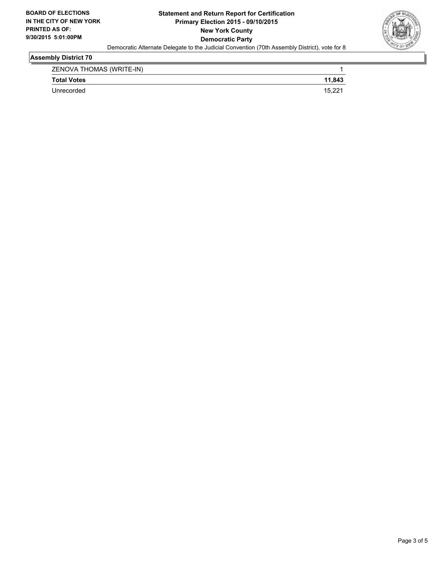

### **Assembly District 70**

| ZENOVA THOMAS (WRITE-IN) |        |
|--------------------------|--------|
| <b>Total Votes</b>       | 11,843 |
| Unrecorded               | 15.2   |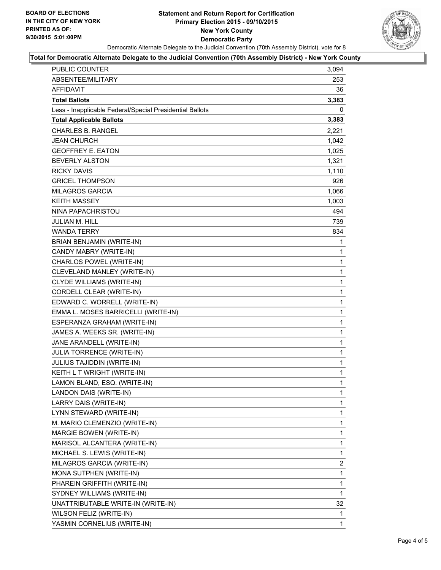#### **Statement and Return Report for Certification Primary Election 2015 - 09/10/2015 New York County Democratic Party** Democratic Alternate Delegate to the Judicial Convention (70th Assembly District), vote for 8



#### **Total for Democratic Alternate Delegate to the Judicial Convention (70th Assembly District) - New York County**

| <b>PUBLIC COUNTER</b>                                    | 3,094        |
|----------------------------------------------------------|--------------|
| ABSENTEE/MILITARY                                        | 253          |
| AFFIDAVIT                                                | 36           |
| <b>Total Ballots</b>                                     | 3,383        |
| Less - Inapplicable Federal/Special Presidential Ballots | 0            |
| <b>Total Applicable Ballots</b>                          | 3,383        |
| <b>CHARLES B. RANGEL</b>                                 | 2,221        |
| <b>JEAN CHURCH</b>                                       | 1,042        |
| <b>GEOFFREY E. EATON</b>                                 | 1,025        |
| <b>BEVERLY ALSTON</b>                                    | 1,321        |
| <b>RICKY DAVIS</b>                                       | 1,110        |
| <b>GRICEL THOMPSON</b>                                   | 926          |
| <b>MILAGROS GARCIA</b>                                   | 1,066        |
| <b>KEITH MASSEY</b>                                      | 1,003        |
| NINA PAPACHRISTOU                                        | 494          |
| JULIAN M. HILL                                           | 739          |
| <b>WANDA TERRY</b>                                       | 834          |
| BRIAN BENJAMIN (WRITE-IN)                                | 1            |
| CANDY MABRY (WRITE-IN)                                   | 1            |
| CHARLOS POWEL (WRITE-IN)                                 | 1            |
| CLEVELAND MANLEY (WRITE-IN)                              | 1            |
| CLYDE WILLIAMS (WRITE-IN)                                | 1            |
| CORDELL CLEAR (WRITE-IN)                                 | 1            |
| EDWARD C. WORRELL (WRITE-IN)                             | 1            |
| EMMA L. MOSES BARRICELLI (WRITE-IN)                      | 1            |
| ESPERANZA GRAHAM (WRITE-IN)                              | 1            |
| JAMES A. WEEKS SR. (WRITE-IN)                            | 1            |
| JANE ARANDELL (WRITE-IN)                                 | 1            |
| JULIA TORRENCE (WRITE-IN)                                | 1            |
| JULIUS TAJIDDIN (WRITE-IN)                               | 1            |
| KEITH L T WRIGHT (WRITE-IN)                              | 1            |
| LAMON BLAND, ESQ. (WRITE-IN)                             | $\mathbf{1}$ |
| LANDON DAIS (WRITE-IN)                                   | 1            |
| LARRY DAIS (WRITE-IN)                                    | 1            |
| LYNN STEWARD (WRITE-IN)                                  | 1            |
| M. MARIO CLEMENZIO (WRITE-IN)                            | 1            |
| <b>MARGIE BOWEN (WRITE-IN)</b>                           | 1            |
| MARISOL ALCANTERA (WRITE-IN)                             | 1            |
| MICHAEL S. LEWIS (WRITE-IN)                              | 1            |
| MILAGROS GARCIA (WRITE-IN)                               | 2            |
| MONA SUTPHEN (WRITE-IN)                                  | 1            |
| PHAREIN GRIFFITH (WRITE-IN)                              | 1            |
| SYDNEY WILLIAMS (WRITE-IN)                               | 1            |
| UNATTRIBUTABLE WRITE-IN (WRITE-IN)                       | 32           |
| WILSON FELIZ (WRITE-IN)                                  | 1            |
| YASMIN CORNELIUS (WRITE-IN)                              | 1            |